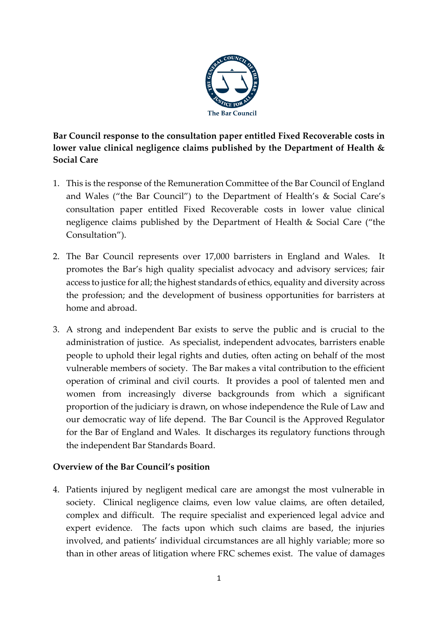

**Bar Council response to the consultation paper entitled Fixed Recoverable costs in lower value clinical negligence claims published by the Department of Health & Social Care**

- 1. This is the response of the Remuneration Committee of the Bar Council of England and Wales ("the Bar Council") to the Department of Health's & Social Care's consultation paper entitled Fixed Recoverable costs in lower value clinical negligence claims published by the Department of Health & Social Care ("the Consultation").
- 2. The Bar Council represents over 17,000 barristers in England and Wales. It promotes the Bar's high quality specialist advocacy and advisory services; fair access to justice for all; the highest standards of ethics, equality and diversity across the profession; and the development of business opportunities for barristers at home and abroad.
- 3. A strong and independent Bar exists to serve the public and is crucial to the administration of justice. As specialist, independent advocates, barristers enable people to uphold their legal rights and duties, often acting on behalf of the most vulnerable members of society. The Bar makes a vital contribution to the efficient operation of criminal and civil courts. It provides a pool of talented men and women from increasingly diverse backgrounds from which a significant proportion of the judiciary is drawn, on whose independence the Rule of Law and our democratic way of life depend. The Bar Council is the Approved Regulator for the Bar of England and Wales. It discharges its regulatory functions through the independent Bar Standards Board.

### **Overview of the Bar Council's position**

4. Patients injured by negligent medical care are amongst the most vulnerable in society. Clinical negligence claims, even low value claims, are often detailed, complex and difficult. The require specialist and experienced legal advice and expert evidence. The facts upon which such claims are based, the injuries involved, and patients' individual circumstances are all highly variable; more so than in other areas of litigation where FRC schemes exist. The value of damages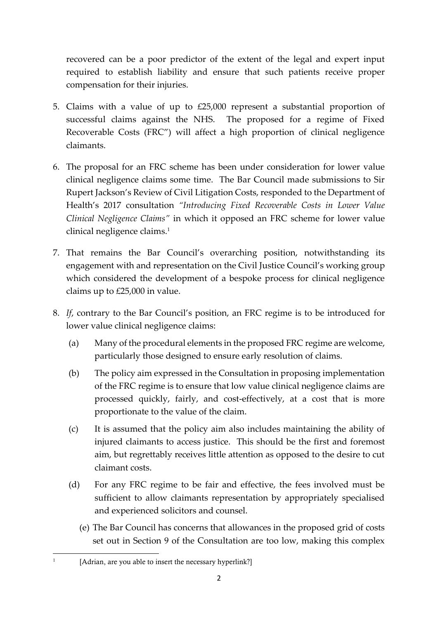recovered can be a poor predictor of the extent of the legal and expert input required to establish liability and ensure that such patients receive proper compensation for their injuries.

- 5. Claims with a value of up to £25,000 represent a substantial proportion of successful claims against the NHS. The proposed for a regime of Fixed Recoverable Costs (FRC") will affect a high proportion of clinical negligence claimants.
- 6. The proposal for an FRC scheme has been under consideration for lower value clinical negligence claims some time. The Bar Council made submissions to Sir Rupert Jackson's Review of Civil Litigation Costs, responded to the Department of Health's 2017 consultation *"Introducing Fixed Recoverable Costs in Lower Value Clinical Negligence Claims"* in which it opposed an FRC scheme for lower value clinical negligence claims.<sup>1</sup>
- 7. That remains the Bar Council's overarching position, notwithstanding its engagement with and representation on the Civil Justice Council's working group which considered the development of a bespoke process for clinical negligence claims up to £25,000 in value.
- 8. *If*, contrary to the Bar Council's position, an FRC regime is to be introduced for lower value clinical negligence claims:
	- (a) Many of the procedural elements in the proposed FRC regime are welcome, particularly those designed to ensure early resolution of claims.
	- (b) The policy aim expressed in the Consultation in proposing implementation of the FRC regime is to ensure that low value clinical negligence claims are processed quickly, fairly, and cost-effectively, at a cost that is more proportionate to the value of the claim.
	- (c) It is assumed that the policy aim also includes maintaining the ability of injured claimants to access justice. This should be the first and foremost aim, but regrettably receives little attention as opposed to the desire to cut claimant costs.
	- (d) For any FRC regime to be fair and effective, the fees involved must be sufficient to allow claimants representation by appropriately specialised and experienced solicitors and counsel.
		- (e) The Bar Council has concerns that allowances in the proposed grid of costs set out in Section 9 of the Consultation are too low, making this complex

1

 <sup>[</sup>Adrian, are you able to insert the necessary hyperlink?]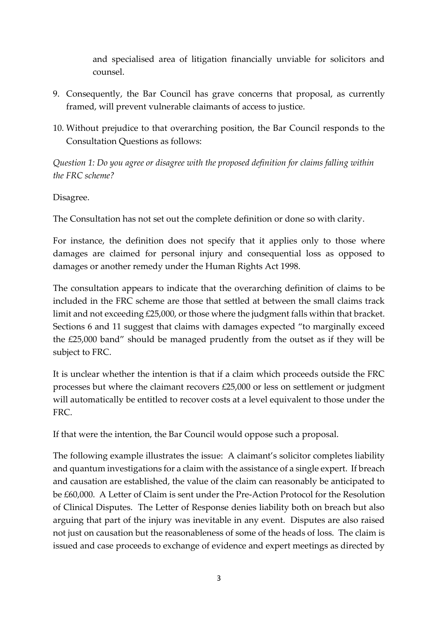and specialised area of litigation financially unviable for solicitors and counsel.

- 9. Consequently, the Bar Council has grave concerns that proposal, as currently framed, will prevent vulnerable claimants of access to justice.
- 10. Without prejudice to that overarching position, the Bar Council responds to the Consultation Questions as follows:

*Question 1: Do you agree or disagree with the proposed definition for claims falling within the FRC scheme?*

Disagree.

The Consultation has not set out the complete definition or done so with clarity.

For instance, the definition does not specify that it applies only to those where damages are claimed for personal injury and consequential loss as opposed to damages or another remedy under the Human Rights Act 1998.

The consultation appears to indicate that the overarching definition of claims to be included in the FRC scheme are those that settled at between the small claims track limit and not exceeding £25,000, or those where the judgment falls within that bracket. Sections 6 and 11 suggest that claims with damages expected "to marginally exceed the £25,000 band" should be managed prudently from the outset as if they will be subject to FRC.

It is unclear whether the intention is that if a claim which proceeds outside the FRC processes but where the claimant recovers £25,000 or less on settlement or judgment will automatically be entitled to recover costs at a level equivalent to those under the FRC.

If that were the intention, the Bar Council would oppose such a proposal.

The following example illustrates the issue: A claimant's solicitor completes liability and quantum investigations for a claim with the assistance of a single expert. If breach and causation are established, the value of the claim can reasonably be anticipated to be £60,000. A Letter of Claim is sent under the Pre-Action Protocol for the Resolution of Clinical Disputes. The Letter of Response denies liability both on breach but also arguing that part of the injury was inevitable in any event. Disputes are also raised not just on causation but the reasonableness of some of the heads of loss. The claim is issued and case proceeds to exchange of evidence and expert meetings as directed by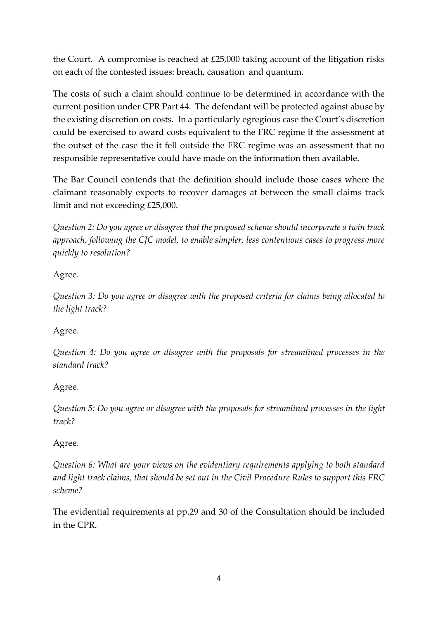the Court. A compromise is reached at £25,000 taking account of the litigation risks on each of the contested issues: breach, causation and quantum.

The costs of such a claim should continue to be determined in accordance with the current position under CPR Part 44. The defendant will be protected against abuse by the existing discretion on costs. In a particularly egregious case the Court's discretion could be exercised to award costs equivalent to the FRC regime if the assessment at the outset of the case the it fell outside the FRC regime was an assessment that no responsible representative could have made on the information then available.

The Bar Council contends that the definition should include those cases where the claimant reasonably expects to recover damages at between the small claims track limit and not exceeding £25,000.

*Question 2: Do you agree or disagree that the proposed scheme should incorporate a twin track approach, following the CJC model, to enable simpler, less contentious cases to progress more quickly to resolution?*

## Agree.

*Question 3: Do you agree or disagree with the proposed criteria for claims being allocated to the light track?*

# Agree.

*Question 4: Do you agree or disagree with the proposals for streamlined processes in the standard track?*

# Agree.

*Question 5: Do you agree or disagree with the proposals for streamlined processes in the light track?*

### Agree.

*Question 6: What are your views on the evidentiary requirements applying to both standard and light track claims, that should be set out in the Civil Procedure Rules to support this FRC scheme?*

The evidential requirements at pp.29 and 30 of the Consultation should be included in the CPR.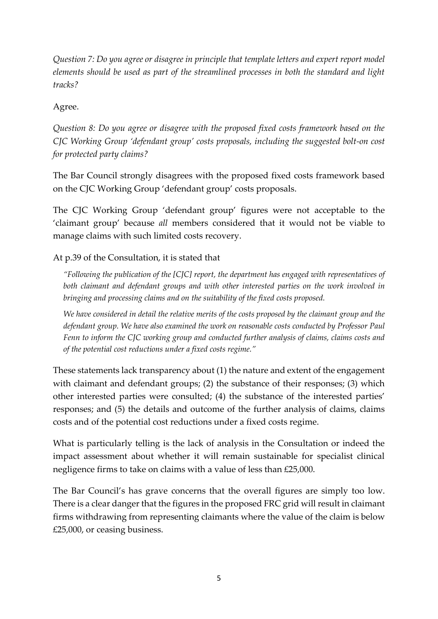*Question 7: Do you agree or disagree in principle that template letters and expert report model elements should be used as part of the streamlined processes in both the standard and light tracks?*

Agree.

*Question 8: Do you agree or disagree with the proposed fixed costs framework based on the CJC Working Group 'defendant group' costs proposals, including the suggested bolt-on cost for protected party claims?*

The Bar Council strongly disagrees with the proposed fixed costs framework based on the CJC Working Group 'defendant group' costs proposals.

The CJC Working Group 'defendant group' figures were not acceptable to the 'claimant group' because *all* members considered that it would not be viable to manage claims with such limited costs recovery.

At p.39 of the Consultation, it is stated that

*"Following the publication of the [CJC] report, the department has engaged with representatives of both claimant and defendant groups and with other interested parties on the work involved in bringing and processing claims and on the suitability of the fixed costs proposed.* 

*We have considered in detail the relative merits of the costs proposed by the claimant group and the defendant group. We have also examined the work on reasonable costs conducted by Professor Paul Fenn to inform the CJC working group and conducted further analysis of claims, claims costs and of the potential cost reductions under a fixed costs regime."*

These statements lack transparency about (1) the nature and extent of the engagement with claimant and defendant groups; (2) the substance of their responses; (3) which other interested parties were consulted; (4) the substance of the interested parties' responses; and (5) the details and outcome of the further analysis of claims, claims costs and of the potential cost reductions under a fixed costs regime.

What is particularly telling is the lack of analysis in the Consultation or indeed the impact assessment about whether it will remain sustainable for specialist clinical negligence firms to take on claims with a value of less than £25,000.

The Bar Council's has grave concerns that the overall figures are simply too low. There is a clear danger that the figures in the proposed FRC grid will result in claimant firms withdrawing from representing claimants where the value of the claim is below £25,000, or ceasing business.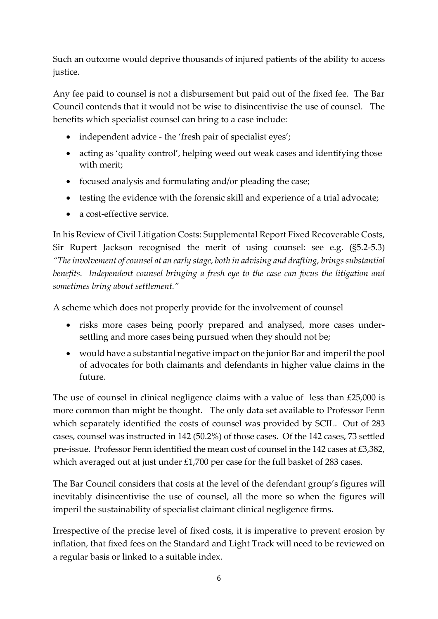Such an outcome would deprive thousands of injured patients of the ability to access justice.

Any fee paid to counsel is not a disbursement but paid out of the fixed fee. The Bar Council contends that it would not be wise to disincentivise the use of counsel. The benefits which specialist counsel can bring to a case include:

- independent advice the 'fresh pair of specialist eyes';
- acting as 'quality control', helping weed out weak cases and identifying those with merit;
- focused analysis and formulating and/or pleading the case;
- testing the evidence with the forensic skill and experience of a trial advocate;
- a cost-effective service.

In his Review of Civil Litigation Costs: Supplemental Report Fixed Recoverable Costs, Sir Rupert Jackson recognised the merit of using counsel: see e.g. (§5.2-5.3) *"The involvement of counsel at an early stage, both in advising and drafting, brings substantial benefits. Independent counsel bringing a fresh eye to the case can focus the litigation and sometimes bring about settlement."*

A scheme which does not properly provide for the involvement of counsel

- risks more cases being poorly prepared and analysed, more cases undersettling and more cases being pursued when they should not be;
- would have a substantial negative impact on the junior Bar and imperil the pool of advocates for both claimants and defendants in higher value claims in the future.

The use of counsel in clinical negligence claims with a value of less than £25,000 is more common than might be thought. The only data set available to Professor Fenn which separately identified the costs of counsel was provided by SCIL. Out of 283 cases, counsel was instructed in 142 (50.2%) of those cases. Of the 142 cases, 73 settled pre-issue. Professor Fenn identified the mean cost of counsel in the 142 cases at £3,382, which averaged out at just under £1,700 per case for the full basket of 283 cases.

The Bar Council considers that costs at the level of the defendant group's figures will inevitably disincentivise the use of counsel, all the more so when the figures will imperil the sustainability of specialist claimant clinical negligence firms.

Irrespective of the precise level of fixed costs, it is imperative to prevent erosion by inflation, that fixed fees on the Standard and Light Track will need to be reviewed on a regular basis or linked to a suitable index.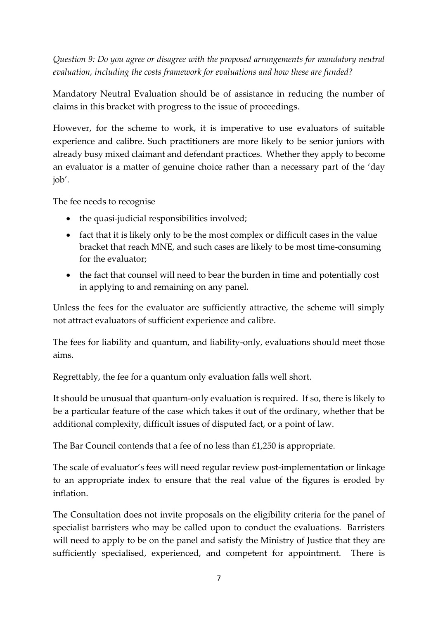*Question 9: Do you agree or disagree with the proposed arrangements for mandatory neutral evaluation, including the costs framework for evaluations and how these are funded?*

Mandatory Neutral Evaluation should be of assistance in reducing the number of claims in this bracket with progress to the issue of proceedings.

However, for the scheme to work, it is imperative to use evaluators of suitable experience and calibre. Such practitioners are more likely to be senior juniors with already busy mixed claimant and defendant practices. Whether they apply to become an evaluator is a matter of genuine choice rather than a necessary part of the 'day job'.

The fee needs to recognise

- the quasi-judicial responsibilities involved;
- fact that it is likely only to be the most complex or difficult cases in the value bracket that reach MNE, and such cases are likely to be most time-consuming for the evaluator;
- the fact that counsel will need to bear the burden in time and potentially cost in applying to and remaining on any panel.

Unless the fees for the evaluator are sufficiently attractive, the scheme will simply not attract evaluators of sufficient experience and calibre.

The fees for liability and quantum, and liability-only, evaluations should meet those aims.

Regrettably, the fee for a quantum only evaluation falls well short.

It should be unusual that quantum-only evaluation is required. If so, there is likely to be a particular feature of the case which takes it out of the ordinary, whether that be additional complexity, difficult issues of disputed fact, or a point of law.

The Bar Council contends that a fee of no less than £1,250 is appropriate.

The scale of evaluator's fees will need regular review post-implementation or linkage to an appropriate index to ensure that the real value of the figures is eroded by inflation.

The Consultation does not invite proposals on the eligibility criteria for the panel of specialist barristers who may be called upon to conduct the evaluations. Barristers will need to apply to be on the panel and satisfy the Ministry of Justice that they are sufficiently specialised, experienced, and competent for appointment. There is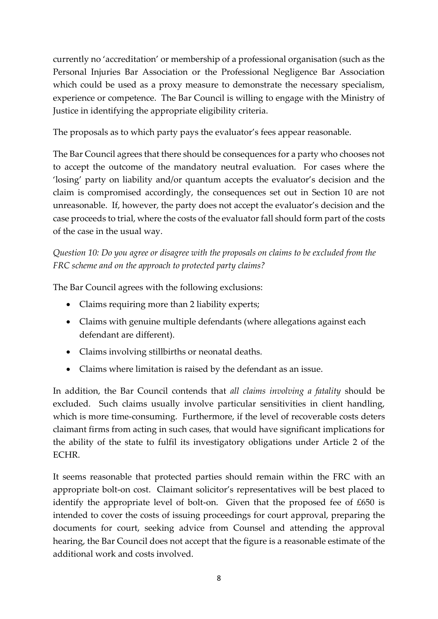currently no 'accreditation' or membership of a professional organisation (such as the Personal Injuries Bar Association or the Professional Negligence Bar Association which could be used as a proxy measure to demonstrate the necessary specialism, experience or competence. The Bar Council is willing to engage with the Ministry of Justice in identifying the appropriate eligibility criteria.

The proposals as to which party pays the evaluator's fees appear reasonable.

The Bar Council agrees that there should be consequences for a party who chooses not to accept the outcome of the mandatory neutral evaluation. For cases where the 'losing' party on liability and/or quantum accepts the evaluator's decision and the claim is compromised accordingly, the consequences set out in Section 10 are not unreasonable. If, however, the party does not accept the evaluator's decision and the case proceeds to trial, where the costs of the evaluator fall should form part of the costs of the case in the usual way.

*Question 10: Do you agree or disagree with the proposals on claims to be excluded from the FRC scheme and on the approach to protected party claims?*

The Bar Council agrees with the following exclusions:

- Claims requiring more than 2 liability experts;
- Claims with genuine multiple defendants (where allegations against each defendant are different).
- Claims involving stillbirths or neonatal deaths.
- Claims where limitation is raised by the defendant as an issue.

In addition, the Bar Council contends that *all claims involving a fatality* should be excluded. Such claims usually involve particular sensitivities in client handling, which is more time-consuming. Furthermore, if the level of recoverable costs deters claimant firms from acting in such cases, that would have significant implications for the ability of the state to fulfil its investigatory obligations under Article 2 of the ECHR.

It seems reasonable that protected parties should remain within the FRC with an appropriate bolt-on cost. Claimant solicitor's representatives will be best placed to identify the appropriate level of bolt-on. Given that the proposed fee of £650 is intended to cover the costs of issuing proceedings for court approval, preparing the documents for court, seeking advice from Counsel and attending the approval hearing, the Bar Council does not accept that the figure is a reasonable estimate of the additional work and costs involved.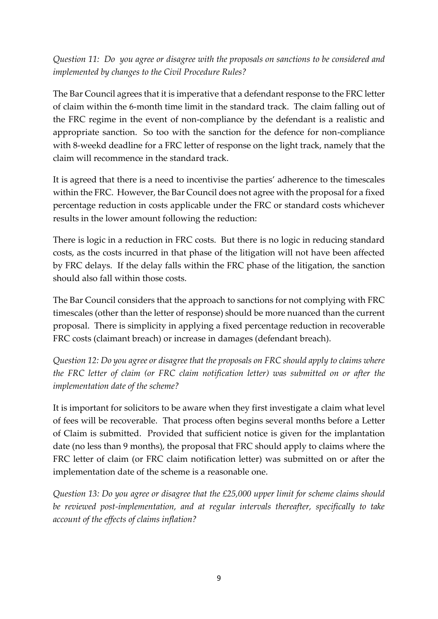*Question 11: Do you agree or disagree with the proposals on sanctions to be considered and implemented by changes to the Civil Procedure Rules?*

The Bar Council agrees that it is imperative that a defendant response to the FRC letter of claim within the 6-month time limit in the standard track. The claim falling out of the FRC regime in the event of non-compliance by the defendant is a realistic and appropriate sanction. So too with the sanction for the defence for non-compliance with 8-weekd deadline for a FRC letter of response on the light track, namely that the claim will recommence in the standard track.

It is agreed that there is a need to incentivise the parties' adherence to the timescales within the FRC. However, the Bar Council does not agree with the proposal for a fixed percentage reduction in costs applicable under the FRC or standard costs whichever results in the lower amount following the reduction:

There is logic in a reduction in FRC costs. But there is no logic in reducing standard costs, as the costs incurred in that phase of the litigation will not have been affected by FRC delays. If the delay falls within the FRC phase of the litigation, the sanction should also fall within those costs.

The Bar Council considers that the approach to sanctions for not complying with FRC timescales (other than the letter of response) should be more nuanced than the current proposal. There is simplicity in applying a fixed percentage reduction in recoverable FRC costs (claimant breach) or increase in damages (defendant breach).

*Question 12: Do you agree or disagree that the proposals on FRC should apply to claims where the FRC letter of claim (or FRC claim notification letter) was submitted on or after the implementation date of the scheme?*

It is important for solicitors to be aware when they first investigate a claim what level of fees will be recoverable. That process often begins several months before a Letter of Claim is submitted. Provided that sufficient notice is given for the implantation date (no less than 9 months), the proposal that FRC should apply to claims where the FRC letter of claim (or FRC claim notification letter) was submitted on or after the implementation date of the scheme is a reasonable one.

*Question 13: Do you agree or disagree that the £25,000 upper limit for scheme claims should be reviewed post-implementation, and at regular intervals thereafter, specifically to take account of the effects of claims inflation?*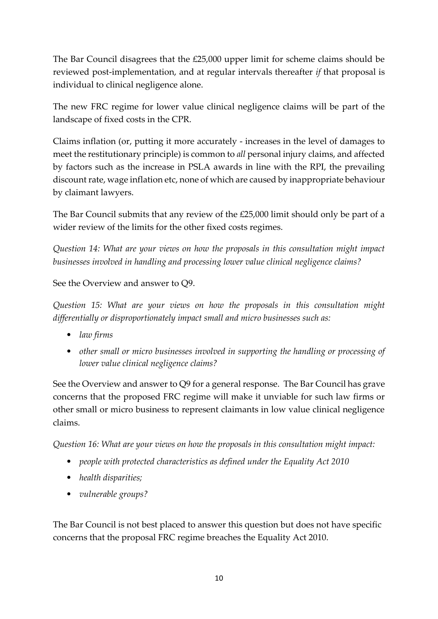The Bar Council disagrees that the £25,000 upper limit for scheme claims should be reviewed post-implementation, and at regular intervals thereafter *if* that proposal is individual to clinical negligence alone.

The new FRC regime for lower value clinical negligence claims will be part of the landscape of fixed costs in the CPR.

Claims inflation (or, putting it more accurately - increases in the level of damages to meet the restitutionary principle) is common to *all* personal injury claims, and affected by factors such as the increase in PSLA awards in line with the RPI, the prevailing discount rate, wage inflation etc, none of which are caused by inappropriate behaviour by claimant lawyers.

The Bar Council submits that any review of the £25,000 limit should only be part of a wider review of the limits for the other fixed costs regimes.

*Question 14: What are your views on how the proposals in this consultation might impact businesses involved in handling and processing lower value clinical negligence claims?*

See the Overview and answer to Q9.

*Question 15: What are your views on how the proposals in this consultation might differentially or disproportionately impact small and micro businesses such as:*

- *law firms*
- *other small or micro businesses involved in supporting the handling or processing of lower value clinical negligence claims?*

See the Overview and answer to Q9 for a general response. The Bar Council has grave concerns that the proposed FRC regime will make it unviable for such law firms or other small or micro business to represent claimants in low value clinical negligence claims.

*Question 16: What are your views on how the proposals in this consultation might impact:*

- *people with protected characteristics as defined under the Equality Act 2010*
- *health disparities;*
- *vulnerable groups?*

The Bar Council is not best placed to answer this question but does not have specific concerns that the proposal FRC regime breaches the Equality Act 2010.